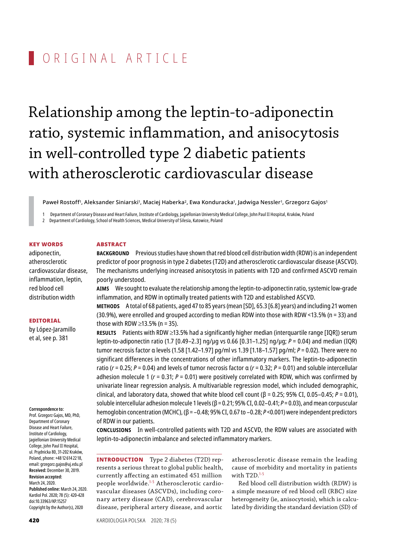# ORIGINAL ARTICLE

Relationship among the leptin-to-adiponectin ratio, systemic inflammation, and anisocytosis in well-controlled type 2 diabetic patients with atherosclerotic cardiovascular disease

Paweł Rostoff1, Aleksander Siniarski1, Maciej Haberka<sup>2</sup>, Ewa Konduracka1, Jadwiga Nessler<sup>1</sup>, Grzegorz Gajos'

1 Department of Coronary Disease and HeartFailure, Institute of Cardiology, Jagiellonian University Medical College, John Paul II Hospital, Kraków, Poland

2 Department of Cardiology, School of Health Sciences, Medical University of Silesia, Katowice, Poland

## Key words

adiponectin, atherosclerotic cardiovascular disease, inflammation, leptin, red blood cell distribution width

# Editorial

by López-Jaramillo et al, see p. 381

#### **Correspondence to:**

Prof. Grzegorz Gajos, MD, PhD, Department of Coronary Disease and Heart Failure, Institute of Cardiology, Jagiellonian University Medical College, John Paul II Hospital, ul. Prądnicka 80, 31-202 Kraków, Poland, phone: +48 12 614 22 18, email: grzegorz.gajos@uj.edu.pl **Received:** December 30, 2019. **Revision accepted:** March 24, 2020. **Published online:** March 24, 2020. Kardiol Pol. 2020; 78 (5): 420-428 doi:10.33963/KP.15257 Copyright by the Author(s), 2020

# **ABSTRACT**

**Background** Previous studies have shown that red blood cell distribution width (RDW) is an independent predictor of poor prognosis in type 2 diabetes (T2D) and atherosclerotic cardiovascular disease (ASCVD). The mechanisms underlying increased anisocytosis in patients with T2D and confirmed ASCVD remain poorly understood.

**Aims** We sought to evaluate the relationship among the leptin-to-adiponectin ratio, systemic low -grade inflammation, and RDW in optimally treated patients with T2D and established ASCVD.

**Methods** A total of 68 patients, aged 47 to 85 years (mean [SD], 65.3 [6.8] years) and including 21women (30.9%), were enrolled and grouped according to median RDW into those with RDW <13.5% (n = 33) and those with RDW  $\geq$ 13.5% (n = 35).

**Results** Patients with RDW ≥13.5% had a significantly higher median (interquartile range [IQR]) serum leptin-to-adiponectin ratio (1.7 [0.49–2.3] ng/µg vs 0.66 [0.31–1.25] ng/µg; *P* = 0.04) and median (IQR) tumor necrosis factor α levels (1.58 [1.42–1.97] pg/ml vs 1.39 [1.18–1.57] pg/ml; *P* = 0.02). There were no significant differences in the concentrations of other inflammatory markers. The leptin-to-adiponectin ratio (*r* = 0.25; *P* = 0.04) and levels of tumor necrosis factor α (*r* = 0.32; *P* = 0.01) and soluble intercellular adhesion molecule 1 ( $r = 0.31$ ;  $P = 0.01$ ) were positively correlated with RDW, which was confirmed by univariate linear regression analysis. A multivariable regression model, which included demographic, clinical, and laboratory data, showed that white blood cell count (β = 0.25; 95% CI, 0.05–0.45; *P* = 0.01), soluble intercellular adhesion molecule 1 levels (β = 0.21; 95% CI, 0.02–0.41; *P* = 0.03), and mean corpuscular hemoglobin concentration (MCHC), (β = –0.48; 95% CI, 0.67 to –0.28; *P* <0.001) were independent predictors of RDW in our patients.

**Conclusions** In well -controlled patients with T2D and ASCVD, the RDW values are associated with leptin-to-adiponectin imbalance and selected inflammatory markers.

**INTRODUCTION** Type 2 diabetes (T2D) represents a serious threat to global public health, currently affecting an estimated 451 million people worldwide.<sup>1-5</sup> Atherosclerotic cardiovascular diseases (ASCVDs), including coronary artery disease (CAD), cerebrovascular disease, peripheral artery disease, and aortic

atherosclerotic disease remain the leading cause of morbidity and mortality in patients with  $T2D$ .<sup>1-5</sup>

Red blood cell distribution width (RDW) is a simple measure of red blood cell (RBC) size heterogeneity (ie, anisocytosis), which is calculated by dividing the standard deviation (SD) of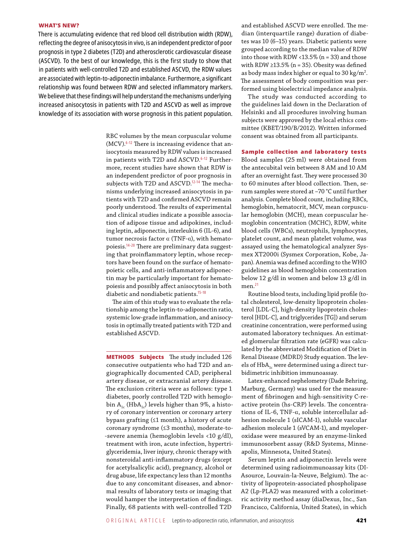### WHAT'S NEW?

There is accumulating evidence that red blood cell distribution width (RDW), reflecting the degree of anisocytosis in vivo, is an independent predictor of poor prognosis in type 2 diabetes (T2D) and atherosclerotic cardiovascular disease (ASCVD). To the best of our knowledge, this is the first study to show that in patients with well-controlled T2D and established ASCVD, the RDW values are associated with leptin-to-adiponectin imbalance. Furthermore, a significant relationship was found between RDW and selected inflammatory markers. We believe that these findings will help understand themechanisms underlying increased anisocytosis in patients with T2D and ASCVD as well as improve knowledge of its association with worse prognosis in this patient population.

> RBC volumes by the mean corpuscular volume (MCV).<sup>6-12</sup> There is increasing evidence that anisocytosis measured by RDW values is increased in patients with T2D and ASCVD.<sup>6-12</sup> Furthermore, recent studies have shown that RDW is an independent predictor of poor prognosis in subjects with T2D and ASCVD.<sup>12-14</sup> The mechanisms underlying increased anisocytosis in patients with T2D and confirmed ASCVD remain poorly understood. The results of experimental and clinical studies indicate a possible association of adipose tissue and adipokines, including leptin, adiponectin, interleukin 6 (IL-6), and tumor necrosis factor  $α$  (TNF- $α$ ), with hematopoiesis.14‑20 There are preliminary data suggesting that proinflammatory leptin, whose receptors have been found on the surface of hematopoietic cells, and anti-inflammatory adiponectin may be particularly important for hematopoiesis and possibly affect anisocytosis in both diabetic and nondiabetic patients.<sup>15-18</sup>

> The aim of this study was to evaluate the relationship among the leptin-to-adiponectin ratio, systemic low -grade inflammation, and anisocytosis in optimally treated patients with T2D and established ASCVD.

> **METHODS** Subjects The study included 126 consecutive outpatients who had T2D and angiographically documented CAD, peripheral artery disease, or extracranial artery disease. The exclusion criteria were as follows: type 1 diabetes, poorly controlled T2D with hemoglobin A<sub>1c</sub> (HbA<sub>1c</sub>) levels higher than 9%, a history of coronary intervention or coronary artery bypass grafting (≤1 month), a history of acute coronary syndrome (≤3 months), moderate -to- -severe anemia (hemoglobin levels <10 g/dl), treatment with iron, acute infection, hypertriglyceridemia, liver injury, chronic therapy with nonsteroidal anti-inflammatory drugs (except for acetylsalicylic acid), pregnancy, alcohol or drug abuse, life expectancy less than 12 months due to any concomitant diseases, and abnormal results of laboratory tests or imaging that would hamper the interpretation of findings. Finally, 68 patients with well-controlled T2D

and established ASCVD were enrolled. The median (interquartile range) duration of diabetes was 10 (6–15) years. Diabetic patients were grouped according to the median value of RDW into those with RDW <13.5% ( $n = 33$ ) and those with RDW  $\geq$ 13.5% (n = 35). Obesity was defined as body mass index higher or equal to 30 kg/ $m^2$ . The assessment of body composition was performed using bioelectrical impedance analysis.

The study was conducted according to the guidelines laid down in the Declaration of Helsinki and all procedures involving human subjects were approved by the local ethics committee (KBET/190/B/2012). Written informed consent was obtained from all participants.

### Sample collection and laboratory tests

Blood samples (25 ml) were obtained from the antecubital vein between 8 AM and 10 AM after an overnight fast. They were processed 30 to 60 minutes after blood collection. Then, serum samples were stored at –70 °C until further analysis. Complete blood count, including RBCs, hemoglobin, hematocrit, MCV, mean corpuscular hemoglobin (MCH), mean corpuscular hemoglobin concentration (MCHC), RDW, white blood cells (WBCs), neutrophils, lymphocytes, platelet count, and mean platelet volume, was assayed using the hematological analyzer Sysmex XT2000i (Sysmex Corporation, Kobe, Japan). Anemia was defined according to the WHO guidelines as blood hemoglobin concentration below 12 g/dl in women and below 13 g/dl in men.<sup>21</sup>

Routine blood tests, including lipid profile (total cholesterol, low -density lipoprotein cholesterol [LDL-C], high-density lipoprotein cholesterol [HDL-C], and triglycerides [TG]) and serum creatinine concentration, were performed using automated laboratory techniques. An estimated glomerular filtration rate (eGFR) was calculated by the abbreviated Modification of Diet in Renal Disease (MDRD) Study equation. The levels of  $HbA_{1c}$  were determined using a direct turbidimetric inhibition immunoassay.

Latex-enhanced nephelometry (Dade Behring, Marburg, Germany) was used for the measurement of fibrinogen and high-sensitivity C-reactive protein (hs -CRP) levels. The concentrations of IL-6, TNF -α, soluble intercellular adhesion molecule 1 (sICAM-1), soluble vascular adhesion molecule 1 (sVCAM-1), and myeloperoxidase were measured by an enzyme -linked immunosorbent assay (R&D Systems, Minneapolis, Minnesota, United States).

Serum leptin and adiponectin levels were determined using radioimmunoassay kits (DI-Asource, Louvain-la-Neuve, Belgium). The activity of lipoprotein -associated phospholipase A2 (Lp -PLA2) was measured with a colorimetric activity method assay (diaDexus, Inc., San Francisco, California, United States), in which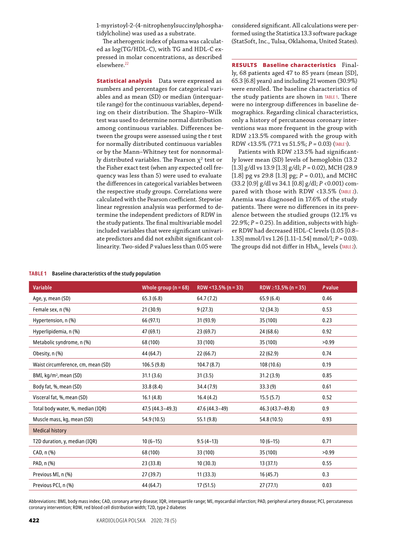1-myristoyl-2-(4-nitrophenylsuccinylphosphatidylcholine) was used as a substrate.

The atherogenic index of plasma was calculated as log(TG/HDL-C), with TG and HDL-C expressed in molar concentrations, as described elsewhere.<sup>22</sup>

**Statistical analysis** Data were expressed as numbers and percentages for categorical variables and as mean (SD) or median (interquartile range) for the continuous variables, depending on their distribution. The Shapiro–Wilk test was used to determine normal distribution among continuous variables. Differences between the groups were assessed using the *t* test for normally distributed continuous variables or by the Mann–Whitney test for nonnormally distributed variables. The Pearson  $x^2$  test or the Fisher exact test (when any expected cell frequency was less than 5) were used to evaluate the differences in categorical variables between the respective study groups. Correlations were calculated with the Pearson coefficient. Stepwise linear regression analysis was performed to determine the independent predictors of RDW in the study patients. The final multivariable model included variables that were significant univariate predictors and did not exhibit significant collinearity. Two -sided *P* values less than 0.05 were

considered significant. All calculations were performed using the Statistica 13.3 software package (StatSoft, Inc., Tulsa, Oklahoma, United States).

**RESULTS** Baseline characteristics Finally, 68 patients aged 47 to 85 years (mean [SD], 65.3 [6.8] years) and including 21 women (30.9%) were enrolled. The baseline characteristics of the study patients are shown in Table 1. There were no intergroup differences in baseline demographics. Regarding clinical characteristics, only a history of percutaneous coronary interventions was more frequent in the group with RDW ≥13.5% compared with the group with RDW <13.5% (77.1 vs 51.5%; *P* = 0.03) (Table 1).

Patients with RDW ≥13.5% had significantly lower mean (SD) levels of hemoglobin (13.2 [1.3] g/dl vs 13.9 [1.3] g/dl; *P* = 0.02), MCH (28.9 [1.8] pg vs 29.8 [1.3] pg;  $P = 0.01$ ), and MCHC (33.2 [0.9] g/dl vs 34.1 [0.8] g/dl; *P* <0.001) compared with those with RDW <13.5% (TABLE 2). Anemia was diagnosed in 17.6% of the study patients. There were no differences in its prevalence between the studied groups (12.1% vs 22.9%;  $P = 0.25$ ). In addition, subjects with higher RDW had decreased HDL -C levels (1.05 [0.8– 1.35] mmol/l vs 1.26 [1.11–1.54] mmol/l; *P* = 0.03). The groups did not differ in  $HbA_{1c}$  levels (TABLE2).

| <b>TABLE 1</b> |  | Baseline characteristics of the study population |  |  |
|----------------|--|--------------------------------------------------|--|--|
|----------------|--|--------------------------------------------------|--|--|

| <b>Variable</b>                    | Whole group ( $n = 68$ ) | RDW <13.5% ( $n = 33$ ) | RDW $\geq$ 13.5% (n = 35) | <b>P</b> value |
|------------------------------------|--------------------------|-------------------------|---------------------------|----------------|
| Age, y, mean (SD)                  | 65.3(6.8)                | 64.7(7.2)               | 65.9(6.4)                 | 0.46           |
| Female sex, n (%)                  | 21(30.9)                 | 9(27.3)                 | 12(34.3)                  | 0.53           |
| Hypertension, n (%)                | 66 (97.1)                | 31 (93.9)               | 35 (100)                  | 0.23           |
| Hyperlipidemia, n (%)              | 47 (69.1)                | 23(69.7)                | 24 (68.6)                 | 0.92           |
| Metabolic syndrome, n (%)          | 68 (100)                 | 33 (100)                | 35 (100)                  | >0.99          |
| Obesity, n (%)                     | 44 (64.7)                | 22(66.7)                | 22(62.9)                  | 0.74           |
| Waist circumference, cm, mean (SD) | 106.5(9.8)               | 104.7(8.7)              | 108 (10.6)                | 0.19           |
| BMI, kg/m <sup>2</sup> , mean (SD) | 31.1(3.6)                | 31(3.5)                 | 31.2(3.9)                 | 0.85           |
| Body fat, %, mean (SD)             | 33.8(8.4)                | 34.4 (7.9)              | 33.3(9)                   | 0.61           |
| Visceral fat, %, mean (SD)         | 16.1(4.8)                | 16.4(4.2)               | 15.5(5.7)                 | 0.52           |
| Total body water, %, median (IQR)  | 47.5 (44.3-49.3)         | 47.6 (44.3-49)          | 46.3 (43.7-49.8)          | 0.9            |
| Muscle mass, kg, mean (SD)         | 54.9 (10.5)              | 55.1(9.8)               | 54.8 (10.5)               | 0.93           |
| <b>Medical history</b>             |                          |                         |                           |                |
| T2D duration, y, median (IQR)      | $10(6-15)$               | $9.5(4-13)$             | $10(6-15)$                | 0.71           |
| CAD, n (%)                         | 68 (100)                 | 33 (100)                | 35 (100)                  | >0.99          |
| PAD, n (%)                         | 23 (33.8)                | 10(30.3)                | 13(37.1)                  | 0.55           |
| Previous MI, n (%)                 | 27 (39.7)                | 11(33.3)                | 16(45.7)                  | 0.3            |
| Previous PCI, n (%)                | 44 (64.7)                | 17 (51.5)               | 27(77.1)                  | 0.03           |

Abbreviations: BMI, body mass index; CAD, coronary artery disease; IQR, interquartile range; MI, myocardial infarction; PAD, peripheral artery disease; PCI, percutaneous coronary intervention; RDW, red blood cell distribution width; T2D, type 2 diabetes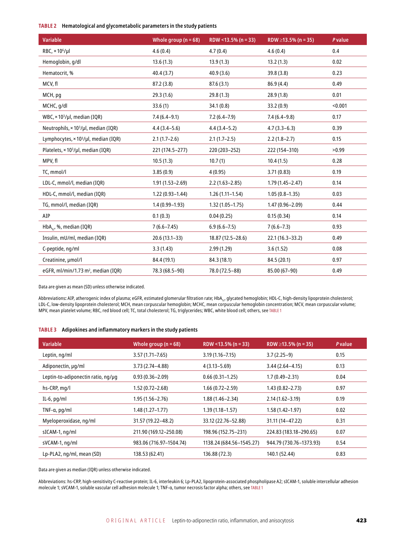# **Table 2 Hematological and glycometabolic parameters in the study patients**

| <b>Variable</b>                                         | Whole group ( $n = 68$ ) | RDW <13.5% ( $n = 33$ ) | RDW $\geq$ 13.5% (n = 35) | P value |
|---------------------------------------------------------|--------------------------|-------------------------|---------------------------|---------|
| $RBC$ , $\times$ 10 <sup>6</sup> /µl                    | 4.6(0.4)                 | 4.7(0.4)                | 4.6(0.4)                  | 0.4     |
| Hemoglobin, g/dl                                        | 13.6(1.3)                | 13.9(1.3)               | 13.2(1.3)                 | 0.02    |
| Hematocrit, %                                           | 40.4(3.7)                | 40.9(3.6)               | 39.8 (3.8)                | 0.23    |
| MCV, fl                                                 | 87.2(3.8)                | 87.6 (3.1)              | 86.9 (4.4)                | 0.49    |
| MCH, pg                                                 | 29.3(1.6)                | 29.8(1.3)               | 28.9 (1.8)                | 0.01    |
| MCHC, g/dl                                              | 33.6(1)                  | 34.1(0.8)               | 33.2 (0.9)                | < 0.001 |
| WBC, × 10 <sup>3</sup> /µl, median (IQR)                | $7.4(6.4-9.1)$           | $7.2(6.4 - 7.9)$        | $7.4(6.4-9.8)$            | 0.17    |
| Neutrophils, × 10 <sup>3</sup> /µl, median (IQR)        | $4.4(3.4-5.6)$           | $4.4(3.4-5.2)$          | $4.7(3.3-6.3)$            | 0.39    |
| Lymphocytes, $\times$ 10 <sup>3</sup> /µl, median (IQR) | $2.1(1.7-2.6)$           | $2.1(1.7-2.5)$          | $2.2(1.8-2.7)$            | 0.15    |
| Platelets, × 10 <sup>3</sup> /µl, median (IQR)          | 221 (174.5-277)          | 220 (203-252)           | 222 (154-310)             | >0.99   |
| MPV, fl                                                 | 10.5(1.3)                | 10.7(1)                 | 10.4(1.5)                 | 0.28    |
| TC, mmol/l                                              | 3.85(0.9)                | 4(0.95)                 | 3.71(0.83)                | 0.19    |
| LDL-C, mmol/l, median (IQR)                             | $1.91(1.53 - 2.69)$      | $2.2(1.63 - 2.85)$      | $1.79(1.45 - 2.47)$       | 0.14    |
| HDL-C, mmol/l, median (IQR)                             | $1.22(0.93 - 1.44)$      | $1.26(1.11 - 1.54)$     | $1.05(0.8 - 1.35)$        | 0.03    |
| TG, mmol/l, median (IQR)                                | $1.4(0.99 - 1.93)$       | $1.32(1.05 - 1.75)$     | $1.47(0.96 - 2.09)$       | 0.44    |
| AIP                                                     | 0.1(0.3)                 | 0.04(0.25)              | 0.15(0.34)                | 0.14    |
| HbA <sub>1c</sub> , %, median (IQR)                     | $7(6.6 - 7.45)$          | $6.9(6.6 - 7.5)$        | $7(6.6 - 7.3)$            | 0.93    |
| Insulin, mU/ml, median (IQR)                            | $20.6(13.1-33)$          | 18.87 (12.5 - 28.6)     | $22.1(16.3 - 33.2)$       | 0.49    |
| C-peptide, ng/ml                                        | 3.3(1.43)                | 2.99(1.29)              | 3.6(1.52)                 | 0.08    |
| Creatinine, µmol/l                                      | 84.4 (19.1)              | 84.3 (18.1)             | 84.5 (20.1)               | 0.97    |
| eGFR, ml/min/1.73 m <sup>2</sup> , median (IQR)         | 78.3 (68.5-90)           | 78.0 (72.5-88)          | 85.00 (67-90)             | 0.49    |

Data are given as mean (SD) unless otherwise indicated.

Abbreviations: AIP, atherogenic index of plasma; eGFR, estimated glomerular filtration rate; HbA<sub>1c</sub>, glycated hemoglobin; HDL-C, high-density lipoprotein cholesterol; LDL -C, low -density lipoprotein cholesterol; MCH, mean corpuscular hemoglobin; MCHC, mean corpuscular hemoglobin concentration; MCV, mean corpuscular volume; MPV, mean platelet volume; RBC, red blood cell; TC, total cholesterol; TG, triglycerides; WBC, white blood cell; others, see Table 1

#### **Table 3 Adipokines and inflammatory markers in the study patients**

| <b>Variable</b>                    | Whole group ( $n = 68$ ) | RDW <13.5% ( $n = 33$ )  | RDW $\geq$ 13.5% (n = 35) | <b>P</b> value |
|------------------------------------|--------------------------|--------------------------|---------------------------|----------------|
| Leptin, ng/ml                      | $3.57(1.71 - 7.65)$      | $3.19(1.16 - 7.15)$      | $3.7(2.25-9)$             | 0.15           |
| Adiponectin, µg/ml                 | $3.73(2.74 - 4.88)$      | $4(3.13 - 5.69)$         | $3.44(2.64 - 4.15)$       | 0.13           |
| Leptin-to-adiponectin ratio, ng/µg | $0.93(0.36 - 2.09)$      | $0.66(0.31-1.25)$        | $1.7(0.49 - 2.31)$        | 0.04           |
| hs-CRP, mg/l                       | $1.52(0.72 - 2.68)$      | $1.66(0.72 - 2.59)$      | $1.43(0.82 - 2.73)$       | 0.97           |
| IL-6, $pq/ml$                      | $1.95(1.56 - 2.76)$      | $1.88(1.46 - 2.34)$      | $2.14(1.62 - 3.19)$       | 0.19           |
| TNF- $\alpha$ , pg/ml              | $1.48(1.27 - 1.77)$      | $1.39(1.18 - 1.57)$      | $1.58(1.42 - 1.97)$       | 0.02           |
| Myeloperoxidase, ng/ml             | 31.57 (19.22–48.2)       | 33.12 (22.76-52.88)      | 31.11 (14-47.22)          | 0.31           |
| sICAM-1, ng/ml                     | 211.90 (169.12-250.08)   | 198.96 (152.75-231)      | 224.83 (183.18-290.65)    | 0.07           |
| sVCAM-1, ng/ml                     | 983.06 (716.97-1504.74)  | 1138.24 (684.56-1545.27) | 944.79 (730.76-1373.93)   | 0.54           |
| Lp-PLA2, ng/ml, mean (SD)          | 138.53 (62.41)           | 136.88 (72.3)            | 140.1 (52.44)             | 0.83           |

Data are given as median (IQR) unless otherwise indicated.

Abbreviations: hs -CRP, high -sensitivity C -reactive protein; IL-6, interleukin 6; Lp -PLA2, lipoprotein -associated phospholipase A2; sICAM-1, soluble intercellular adhesion molecule 1; sVCAM‑1, soluble vascular cell adhesion molecule 1; TNF‑α, tumor necrosis factor alpha; others, see Table 1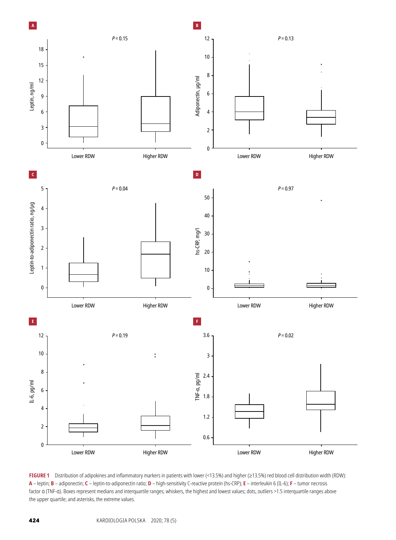

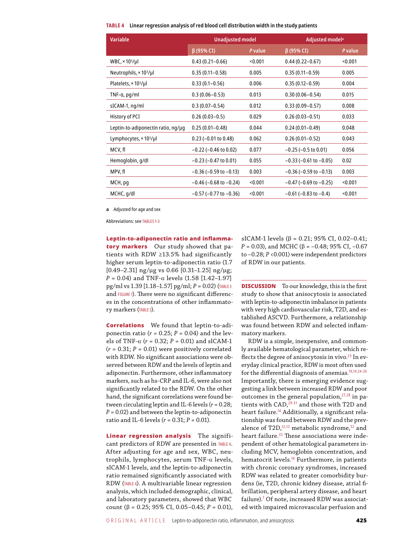|  |  |  |  |  | TABLE 4  Linear regression analysis of red blood cell distribution width in the study patients |  |  |
|--|--|--|--|--|------------------------------------------------------------------------------------------------|--|--|
|--|--|--|--|--|------------------------------------------------------------------------------------------------|--|--|

| <b>Unadjusted model</b>        |         | Adjusted model <sup>a</sup>    |         |
|--------------------------------|---------|--------------------------------|---------|
| $\beta$ (95% CI)               | P value | $\beta$ (95% CI)               | P value |
| $0.43(0.21 - 0.66)$            | < 0.001 | $0.44(0.22 - 0.67)$            | < 0.001 |
| $0.35(0.11 - 0.58)$            | 0.005   | $0.35(0.11 - 0.59)$            | 0.005   |
| $0.33(0.1 - 0.56)$             | 0.006   | $0.35(0.12 - 0.59)$            | 0.004   |
| $0.3(0.06 - 0.53)$             | 0.013   | $0.30(0.06 - 0.54)$            | 0.015   |
| $0.3(0.07 - 0.54)$             | 0.012   | $0.33(0.09 - 0.57)$            | 0.008   |
| $0.26(0.03 - 0.5)$             | 0.029   | $0.26(0.03 - 0.51)$            | 0.033   |
| $0.25(0.01 - 0.48)$            | 0.044   | $0.24(0.01 - 0.49)$            | 0.048   |
| $0.23$ (-0.01 to 0.48)         | 0.062   | $0.26(0.01 - 0.52)$            | 0.043   |
| $-0.22$ ( $-0.46$ to 0.02)     | 0.077   | $-0.25$ ( $-0.5$ to 0.01)      | 0.056   |
| $-0.23$ ( $-0.47$ to 0.01)     | 0.055   | $-0.33$ ( $-0.61$ to $-0.05$ ) | 0.02    |
| $-0.36$ ( $-0.59$ to $-0.13$ ) | 0.003   | $-0.36$ ( $-0.59$ to $-0.13$ ) | 0.003   |
| $-0.46$ ( $-0.68$ to $-0.24$ ) | < 0.001 | $-0.47$ ( $-0.69$ to $-0.25$ ) | < 0.001 |
| $-0.57$ ( $-0.77$ to $-0.36$ ) | < 0.001 | $-0.61$ ( $-0.83$ to $-0.4$ )  | < 0.001 |
|                                |         |                                |         |

**a** Adjusted for age and sex

Abbreviations: see Tables 1‑3

Leptin-to-adiponectin ratio and inflammatory markers Our study showed that patients with RDW ≥13.5% had significantly higher serum leptin-to-adiponectin ratio (1.7  $[0.49-2.31]$  ng/ $\mu$ g vs 0.66  $[0.31-1.25]$  ng/ $\mu$ g;  $P = 0.04$ ) and TNF-α levels  $(1.58$  [1.42-1.97] pg/ml vs 1.39 [1.18–1.57] pg/ml; *P* = 0.02) (Table 3 and FIGURE 1). There were no significant differences in the concentrations of other inflammatory markers (Table 3).

Correlations We found that leptin-to-adiponectin ratio ( $r = 0.25$ ;  $P = 0.04$ ) and the levels of TNF- $\alpha$  ( $r = 0.32$ ;  $P = 0.01$ ) and sICAM-1  $(r = 0.31; P = 0.01)$  were positively correlated with RDW. No significant associations were observed between RDW and the levels of leptin and adiponectin. Furthermore, other inflammatory markers, such as hs -CRP and IL-6, were also not significantly related to the RDW. On the other hand, the significant correlations were found between circulating leptin and IL-6 levels (*r* = 0.28;  $P = 0.02$ ) and between the leptin-to-adiponectin ratio and IL-6 levels (*r* = 0.31; *P* = 0.01).

Linear regression analysis The significant predictors of RDW are presented in Table 4. After adjusting for age and sex, WBC, neutrophils, lymphocytes, serum TNF -α levels, sICAM-1 levels, and the leptin-to-adiponectin ratio remained significantly associated with RDW (Table 4). A multivariable linear regression analysis, which included demographic, clinical, and laboratory parameters, showed that WBC count (β = 0.25; 95% CI, 0.05–0.45; *P* = 0.01), sICAM-1 levels ( $\beta$  = 0.21; 95% CI, 0.02-0.41;  $P = 0.03$ ), and MCHC ( $\beta = -0.48$ ; 95% CI, -0.67 to –0.28; *P* <0.001) were independent predictors of RDW in our patients.

**DISCUSSION** To our knowledge, this is the first study to show that anisocytosis is associated with leptin-to-adiponectin imbalance in patients with very high cardiovascular risk, T2D, and established ASCVD. Furthermore, a relationship was found between RDW and selected inflammatory markers.

RDW is a simple, inexpensive, and commonly available hematological parameter, which reflects the degree of anisocytosis in vivo. $^{23}$  In everyday clinical practice, RDW is most often used for the differential diagnosis of anemias.10,14,24‑26 Importantly, there is emerging evidence suggesting a link between increased RDW and poor outcomes in the general population, $27,28$  in patients with CAD,<sup>29-31</sup> and those with T2D and heart failure.<sup>14</sup> Additionally, a significant relationship was found between RDW and the prevalence of T2D, $12,13$  metabolic syndrome, $32$  and heart failure.<sup>33</sup> These associations were independent of other hematological parameters including MCV, hemoglobin concentration, and hematocrit levels.<sup>14</sup> Furthermore, in patients with chronic coronary syndromes, increased RDW was related to greater comorbidity burdens (ie, T2D, chronic kidney disease, atrial fibrillation, peripheral artery disease, and heart failure).<sup>7</sup> Of note, increased RDW was associated with impaired microvascular perfusion and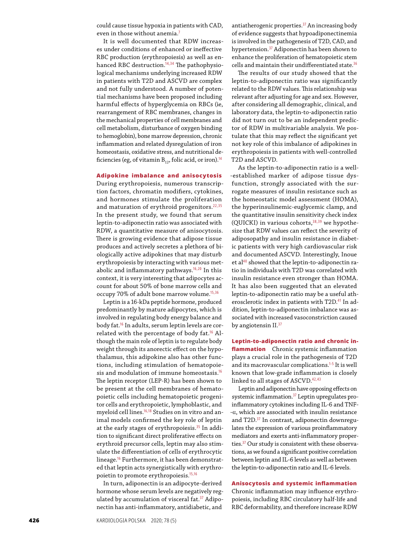could cause tissue hypoxia in patients with CAD, even in those without anemia.<sup>7</sup>

It is well documented that RDW increases under conditions of enhanced or ineffective RBC production (erythropoiesis) as well as enhanced RBC destruction.<sup>14,34</sup> The pathophysiological mechanisms underlying increased RDW in patients with T2D and ASCVD are complex and not fully understood. A number of potential mechanisms have been proposed including harmful effects of hyperglycemia on RBCs (ie, rearrangement of RBC membranes, changes in the mechanical properties of cell membranes and cell metabolism, disturbance of oxygen binding to hemoglobin), bone marrow depression, chronic inflammation and related dysregulation of iron homeostasis, oxidative stress, and nutritional deficiencies (eg, of vitamin  $B_{12}$ , folic acid, or iron).<sup>14</sup>

### Adipokine imbalance and anisocytosis

During erythropoiesis, numerous transcription factors, chromatin modifiers, cytokines, and hormones stimulate the proliferation and maturation of erythroid progenitors.<sup>22,35</sup> In the present study, we found that serum leptin-to-adiponectin ratio was associated with RDW, a quantitative measure of anisocytosis. There is growing evidence that adipose tissue produces and actively secretes a plethora of biologically active adipokines that may disturb erythropoiesis by interacting with various metabolic and inflammatory pathways.16,20 In this context, it is very interesting that adipocytes account for about 50% of bone marrow cells and occupy 70% of adult bone marrow volume.15,36

Leptin is a 16-kDa peptide hormone, produced predominantly by mature adipocytes, which is involved in regulating body energy balance and body fat.16 In adults, serum leptin levels are correlated with the percentage of body fat.16 Although the main role of leptin is to regulate body weight through its anorectic effect on the hypothalamus, this adipokine also has other functions, including stimulation of hematopoiesis and modulation of immune homeostasis.<sup>16</sup> The leptin receptor (LEP-R) has been shown to be present at the cell membranes of hematopoietic cells including hematopoietic progenitor cells and erythropoietic, lymphoblastic, and myeloid cell lines.16,18 Studies on in vitro and animal models confirmed the key role of leptin at the early stages of erythropoiesis.<sup>35</sup> In addition to significant direct proliferative effects on erythroid precursor cells, leptin may also stimulate the differentiation of cells of erythrocytic lineage.16 Furthermore, it has been demonstrated that leptin acts synergistically with erythropoietin to promote erythropoiesis.15,16

In turn, adiponectin is an adipocyte -derived hormone whose serum levels are negatively regulated by accumulation of visceral fat.<sup>37</sup> Adiponectin has anti-inflammatory, antidiabetic, and

antiatherogenic properties.<sup>37</sup> An increasing body of evidence suggests that hypoadiponectinemia is involved in the pathogenesis of T2D, CAD, and hypertension.<sup>37</sup> Adiponectin has been shown to enhance the proliferation of hematopoietic stem cells and maintain their undifferentiated state. $36$ 

The results of our study showed that the leptin-to-adiponectin ratio was significantly related to the RDW values. This relationship was relevant after adjusting for age and sex. However, after considering all demographic, clinical, and laboratory data, the leptin-to-adiponectin ratio did not turn out to be an independent predictor of RDW in multivariable analysis. We postulate that this may reflect the significant yet not key role of this imbalance of adipokines in erythropoiesis in patients with well-controlled T2D and ASCVD.

As the leptin-to-adiponectin ratio is a well- -established marker of adipose tissue dysfunction, strongly associated with the surrogate measures of insulin resistance such as the homeostatic model assessment (HOMA), the hyperinsulinemic -euglycemic clamp, and the quantitative insulin sensitivity check index (QUICKI) in various cohorts, $38,39$  we hypothesize that RDW values can reflect the severity of adiposopathy and insulin resistance in diabetic patients with very high cardiovascular risk and documented ASCVD. Interestingly, Inoue et al<sup>40</sup> showed that the leptin-to-adiponectin ratio in individuals with T2D was correlated with insulin resistance even stronger than HOMA. It has also been suggested that an elevated leptin-to-adiponectin ratio may be a useful atherosclerotic index in patients with T2D.<sup>41</sup> In addition, leptin-to-adiponectin imbalance was associated with increased vasoconstriction caused by angiotensin II.<sup>37</sup>

Leptin-to-adiponectin ratio and chronic inflammation Chronic systemic inflammation plays a crucial role in the pathogenesis of T2D and its macrovascular complications.<sup>1-5</sup> It is well known that low -grade inflammation is closely linked to all stages of ASCVD.42,43

Leptin and adiponectin have opposing effects on systemic inflammation.37 Leptin upregulates proinflammatory cytokines including IL-6 and TNF- -α, which are associated with insulin resistance and T2D.37 In contrast, adiponectin downregulates the expression of various proinflammatory mediators and exerts anti-inflammatory properties.37 Our study is consistent with these observations, as we found a significant positive correlation between leptin and IL-6 levels as well as between the leptin-to-adiponectin ratio and IL-6 levels.

# Anisocytosis and systemic inflammation

Chronic inflammation may influence erythropoiesis, including RBC circulatory half-life and RBC deformability, and therefore increase RDW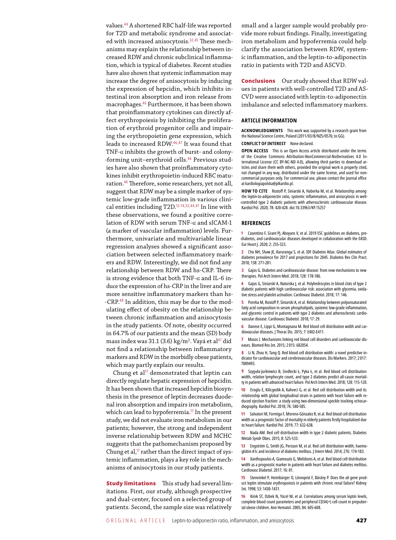values.<sup>44</sup> A shortened RBC half-life was reported for T2D and metabolic syndrome and associated with increased anisocytosis.<sup>32,45</sup> These mechanisms may explain the relationship between increased RDW and chronic subclinical inflammation, which is typical of diabetes. Recent studies have also shown that systemic inflammation may increase the degree of anisocytosis by inducing the expression of hepcidin, which inhibits intestinal iron absorption and iron release from macrophages.<sup>46</sup> Furthermore, it has been shown that proinflammatory cytokines can directly affect erythropoiesis by inhibiting the proliferation of erythroid progenitor cells and impairing the erythropoietin gene expression, which leads to increased RDW.46,47 It was found that TNF -α inhibits the growth of burst- and colony- -forming unit–erythroid cells.46 Previous studies have also shown that proinflammatory cytokines inhibit erythropoietin -induced RBC maturation.<sup>46</sup> Therefore, some researchers, yet not all, suggest that RDW may be a simple marker of systemic low -grade inflammation in various clinical entities including T2D.12‑14,32,44,47 In line with these observations, we found a positive correlation of RDW with serum TNF -α and sICAM-1 (a marker of vascular inflammation) levels. Furthermore, univariate and multivariable linear regression analyses showed a significant association between selected inflammatory markers and RDW. Interestingly, we did not find any relationship between RDW and hs -CRP. There is strong evidence that both TNF- $\alpha$  and IL-6 induce the expression of hs -CRP in the liver and are more sensitive inflammatory markers than hs- -CRP.48 In addition, this may be due to the modulating effect of obesity on the relationship between chronic inflammation and anisocytosis in the study patients. Of note, obesity occurred in 64.7% of our patients and the mean (SD) body mass index was 31.1 (3.6) kg/m<sup>2</sup>. Vayá et al<sup>47</sup> did not find a relationship between inflammatory markers and RDW in the morbidly obese patients, which may partly explain our results.

Chung et al<sup>17</sup> demonstrated that leptin can directly regulate hepatic expression of hepcidin. It has been shown that increased hepcidin biosynthesis in the presence of leptin decreases duodenal iron absorption and impairs iron metabolism, which can lead to hypoferremia.<sup>17</sup> In the present study, we did not evaluate iron metabolism in our patients; however, the strong and independent inverse relationship between RDW and MCHC suggests that the pathomechanism proposed by Chung et al, $17$  rather than the direct impact of systemic inflammation, plays a key role in the mechanisms of anisocytosis in our study patients.

**Study limitations** This study had several limitations. First, our study, although prospective and dual-center, focused on a selected group of patients. Second, the sample size was relatively

small and a larger sample would probably provide more robust findings. Finally, investigating iron metabolism and hypoferremia could help clarify the association between RDW, systemic inflammation, and the leptin-to-adiponectin ratio in patients with T2D and ASCVD.

Conclusions Our study showed that RDW values in patients with well -controlled T2D and AS-CVD were associated with leptin-to-adiponectin imbalance and selected inflammatory markers.

#### **Article information**

**Acknowledgments** This work was supported by a research grant from the National Science Centre, Poland (2011/03/B/NZ5/0576; to GG).

#### **Conflict of interest** None declared.

**Open access** This is an Open Access article distributed under the terms of the Creative Commons Attribution‑NonCommercial‑NoDerivatives 4.0 In‑ ternational License (CC BY-NC-ND 4.0), allowing third parties to download articles and share them with others, provided the original work is properly cited, not changed in any way, distributed under the same license, and used for noncommercial purposes only. For commercial use, please contact the journal office at kardiologiapolska@ptkardio.pl.

**How to cite** Rostoff P, Siniarski A, Haberka M, et al. Relationship among the leptin-to-adiponectin ratio, systemic inflammation, and anisocytosis in well-‑controlled type 2 diabetic patients with atherosclerotic cardiovascular disease. Kardiol Pol. 2020; 78: 420-428. doi:10.33963/KP.15257

#### **References**

**1** Cosentino F, Grant PJ, Aboyans V, et al. 2019 ESC [guidelines](https://doi.org/10.1093/eurheartj/ehz486) on diabetes, pre-‑diabetes, and [cardiovascular](https://doi.org/10.1093/eurheartj/ehz486) diseases developed in collaboration with the EASD. Eur Heart J. 2020; 2: [255-323.](https://doi.org/10.1093/eurheartj/ehz486)

**2** Cho NH, Shaw JE, Karuranga S, et al. IDF Diabetes [Atlas: Global](https://doi.org/10.1016/j.diabres.2018.02.023) estimates of diabetes prevalence for 2017 and projections for 2045. [Diabetes Res](https://doi.org/10.1016/j.diabres.2018.02.023) Clin Pract. 2018; 138: [271-281.](https://doi.org/10.1016/j.diabres.2018.02.023)

**3** Gajos G. Diabetes and [cardiovascular](https://doi.org/10.20452/pamw.4227) disease: from new mechanisms to new [therapies.](https://doi.org/10.20452/pamw.4227) Pol Arch Intern Med. 2018; 128: 178-186.

**4** Gajos G, Siniarski A, Natorska J, et al. [Polyhedrocytes](https://doi.org/10.1186/s12933-018-0789-6) in blood clots of type 2 diabetic patients with high [cardiovascular](https://doi.org/10.1186/s12933-018-0789-6) risk: association with glycemia, oxidative stress and platelet activation. [Cardiovasc](https://doi.org/10.1186/s12933-018-0789-6) Diabetol. 2018; 17: 146.

**5** Poreba M, Rostoff P, Siniarski A, et al. Relationship between [polyunsaturated](https://doi.org/10.1186/s12933-018-0672-5) fatty acid composition in serum [phospholipids,](https://doi.org/10.1186/s12933-018-0672-5) systemic low-grade inflammation, and glycemic control in patients with type 2 diabetes and [atherosclerotic](https://doi.org/10.1186/s12933-018-0672-5) cardiovascular disease. [Cardiovasc](https://doi.org/10.1186/s12933-018-0672-5) Diabetol. 2018; 17: 29.

**6** [Danese E, Lippi G,](https://doi.org/Connection: close) Montagnana M. Red blood cell distribution width and car‑ diovascular diseases. JThorac Dis. 2015; [7: E402‑E411.](https://doi.org/Connection: close)

**7** Mozos I. Mechanisms linking red blood cell disorders and [cardiovascular](https://doi.org/10.1155/2015/682054) dis‑ [eases. Biomed Res](https://doi.org/10.1155/2015/682054) Int. 2015; 2 015: 682054.

**8** Li N, Zhou H, Tang Q. Red blood cell [distribution](https://doi.org/10.1155/2017/7089493) width: a novel predictive in‑ dicator for cardiovascular and [cerebrovascular](https://doi.org/10.1155/2017/7089493) diseases. Dis Markers. 2017; 2 017: [7089493.](https://doi.org/10.1155/2017/7089493)

**9** [Szyguła‑Jurkiewicz B,](https://doi.org/) Siedlecki Ł, Pyka Ł, et al. Red blood cell distribution width, relative [lymphocyte](https://doi.org/) count, and type 2 diabetes predict all-cause mortalityin patients with [advanced](https://doi.org/) heart failure. Pol Arch Intern Med. 2018; 128: 115-120.

**10** Eroglu E, Kilicgedik A, Kahveci G, et al. Red cell [distribution](https://doi.org/) width and its relationship with global [longitudinal](https://doi.org/) strain in patients with heart failure with reduced ejection fraction: a study using two-dimensional speckle tracking echocar[diography.](https://doi.org/) Kardiol Pol. 2018; 76: 580-585.

**11** Salvatori M,Formiga F, [Moreno‑Gónzalez R,](https://doi.org/10.33963/KP.14818) et al. Red blood cell distribution width as [a prognostic](https://doi.org/10.33963/KP.14818) factor of mortality in elderly patients firstly hospitalized due to heart failure. Kardiol Pol. 2019; 77: [632-638.](https://doi.org/10.33963/KP.14818)

**12** Nada AM. Red cell [distribution](https://doi.org/10.2147/DMSO.S85318) width in type 2 diabetic patients. Diabetes Metab Syndr Obes. 2015; 8: [525-533.](https://doi.org/10.2147/DMSO.S85318)

**13** [Engström G,](https://doi.org/10.1111/joim.12188) Smith JG, Persson M, et al. Red cell distribution width, haemoglobin A1c and [incidence](https://doi.org/10.1111/joim.12188) of diabetes mellitus. J Intern Med. 2014; 276: 174-183.

**14** [Xanthopoulos A, Giamouzis G, Melidonis A, et al. Red blood cell distribution](https://doi.org/10.1186/s12933-017-0563-1)  width as [a prognostic](https://doi.org/10.1186/s12933-017-0563-1) marker in patients with heart failure and diabetes mellitus. [Cardiovasc](https://doi.org/10.1186/s12933-017-0563-1) Diabetol. 2017; 16: 81.

**15** Stenvinkel P, Heimbürger [O, Lönnqvist](https://doi.org/10.1046/j.1523-1755.1998.t01-1-00050.x) F, Bárány P. Does the *ob* gene prod‑ uct leptin stimulate [erythropoiesis](https://doi.org/10.1046/j.1523-1755.1998.t01-1-00050.x) in patients with chronic renal failure? Kidney Int. 1998; 53: [1430-1431.](https://doi.org/10.1046/j.1523-1755.1998.t01-1-00050.x)

**16** Kinik ST, Ozbek N, Yücel M, et al. [Correlations](https://doi.org/10.1007/s00277-005-1064-y) among serum leptin levels, complete blood count [parameters](https://doi.org/10.1007/s00277-005-1064-y) and peripheral CD34(+) cell count in prepubertal obese children. Ann [Hematol.](https://doi.org/10.1007/s00277-005-1064-y) 2005; 84: 605-608.